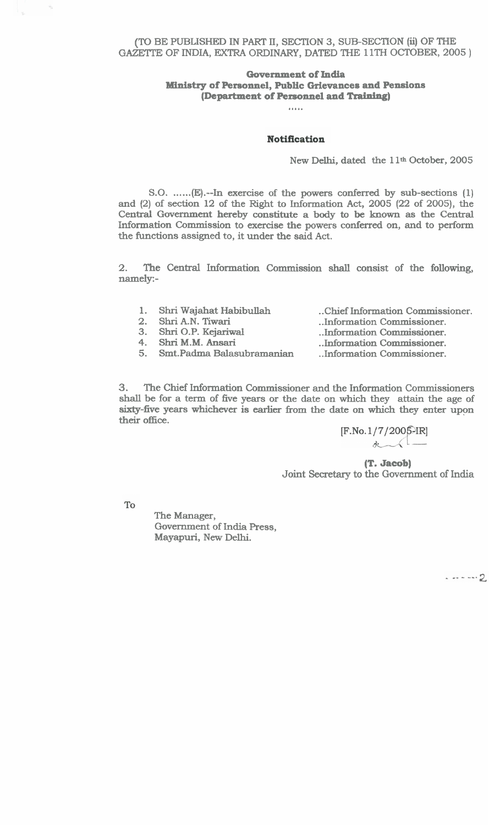(TO BE PUBLISHED IN **PART 11,** SECTION 3, SUB-SECTION **(ii)** OF THE GAZETTE OF INDIA, EXTRA ORDINARY, DATED THE 11TH OCTOBER, 2005)

# **Government of India Ministry of Personnel, Public Grievances and Pensions (Department of Personnel and** *Traidng)* .....

#### **Notification**

New Delhi, dated the 11<sup>th</sup> October, 2005

S.O. ......(E).--In exercise of the powers conferred by sub-sections (1) and (2) of section 12 of the Right to Information Act, 2005 (22 of 2005), the **Centrat** Government hereby constitute a body to be known as the Central Information Commission to exercise the powers conferred on, and to perform the functions assigned to, it under the said Act.

2. The Central Information Commission shall consist of the following, namely:-

1. Shri Wajahat Habibullah

5. Smt.Padma Balasubramanian

- 2. Shri A.N. Tiwari
- 3. Shri O.P. Kejariwal
- 4. Shri M.M. Ansari

. .Chief Information Commissioner.

- ..Information Commissioner. ..Information Commissioner.
	- ..Information Commissioner.
		- . .Information Commissioner.

**3.** The Chief Information Commissioner and the Information Commissioners **shall** be for a term of five years or the date on which they attain the age of **sixty-five years whichever is earlier from the date on which they enter upon** their office.

> $[F. No. 1/7/2005$ -IR]  $\alpha$

**(T. Jacob)**  Joint Secretary to the Government of India

 $_{\rm To}$ 

 $\hat{\gamma}$ 

The Manager, Government of India Press, Mayapuri, New Delhi.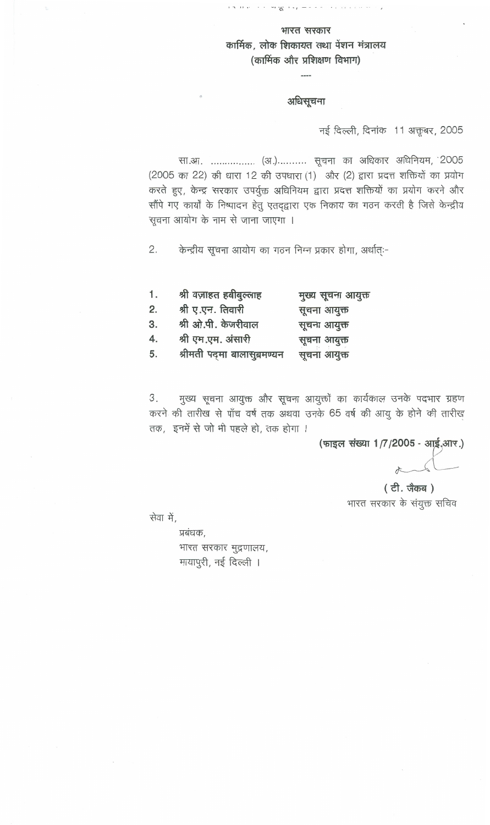### भारत सरकार

कार्मिक, लोक शिकायत तथा पेंशन मंत्रालय (कार्मिक और प्रशिक्षण विभाग)

### अधिसूचना

नई दिल्ली, दिनांक 11 अक्तूबर, 2005

सा.आ. ................ (अ.) .......... सूचना का अधिकार अधिनियम, 2005 (2005 का 22) की धारा 12 की उपधारा (1) और (2) द्वारा प्रदत्त शक्तियों का प्रयोग करते हुए, केन्द्र सरकार उपर्युक्त अधिनियम द्वारा प्रदत्त शक्तियों का प्रयोग करने और सौंपे गए कार्यों के निष्पादन हेतु एतद्द्वारा एक निकाय का गठन करती है जिसे केन्द्रीय सूचना आयोग के नाम से जाना जाएगा ।

 $2.$ केन्द्रीय सूचना आयोग का गठन निम्न प्रकार होगा, अर्थात्ः-

| 1. | श्री वज़ाहत हबीबुल्लाह       | मुख्य सूचना आयुक्त |
|----|------------------------------|--------------------|
| 2. | श्री ए.एन. तिवारी            | सूचना आयुक्त       |
| 3. | श्री ओ.पी. केजरीवाल          | सूचना आयुक्त       |
| 4. | श्री एम.एम. अंसारी           | सूचना आयुक्त       |
| 5. | श्रीमती पद्मा बालासुब्रमण्यन | सूचना आयुक्त       |

मुख्य सूचना आयुक्त और सूचना आयुक्तों का कार्यकाल उनके पदभार ग्रहण З. करने की तारीख से पाँच वर्ष तक अथवा उनके 65 वर्ष की आयु के होने की तारीख तक, इनमें से जो भी पहले हो, तक होगा ।

(फाइल संख्या 1/7/2005 - आई.आर.)

(टी. जैकब) भारत सरकार के संयुक्त सचिव

सेवा में,

प्रबंधक, भारत सरकार मुद्रणालय, मायापुरी, नई दिल्ली ।